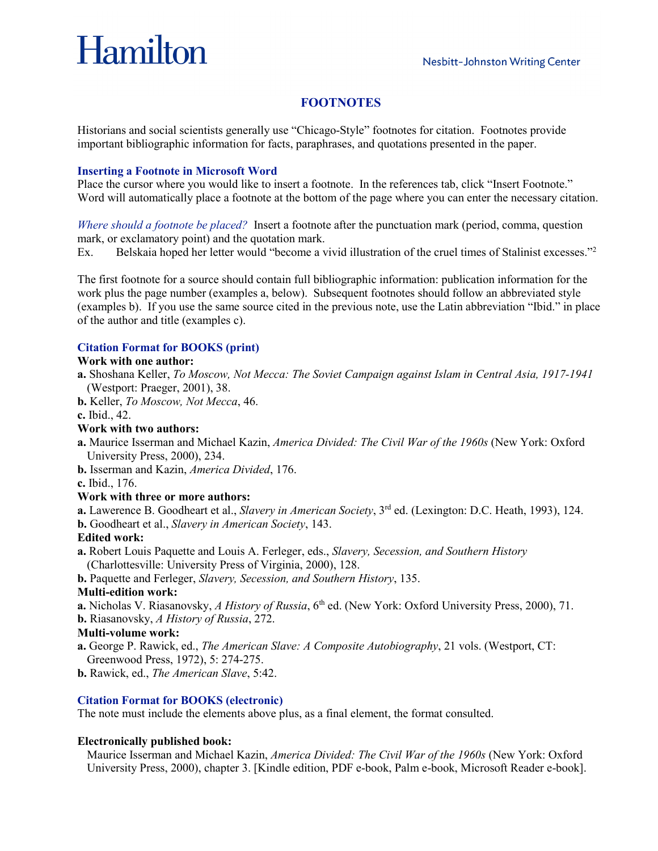# Hamilton

## **FOOTNOTES**

Historians and social scientists generally use "Chicago-Style" footnotes for citation. Footnotes provide important bibliographic information for facts, paraphrases, and quotations presented in the paper.

## **Inserting a Footnote in Microsoft Word**

Place the cursor where you would like to insert a footnote. In the references tab, click "Insert Footnote." Word will automatically place a footnote at the bottom of the page where you can enter the necessary citation.

*Where should a footnote be placed?* Insert a footnote after the punctuation mark (period, comma, question mark, or exclamatory point) and the quotation mark.

Ex. Belskaia hoped her letter would "become a vivid illustration of the cruel times of Stalinist excesses."2

The first footnote for a source should contain full bibliographic information: publication information for the work plus the page number (examples a, below). Subsequent footnotes should follow an abbreviated style (examples b). If you use the same source cited in the previous note, use the Latin abbreviation "Ibid." in place of the author and title (examples c).

## **Citation Format for BOOKS (print)**

## **Work with one author:**

- **a.** Shoshana Keller, *To Moscow, Not Mecca: The Soviet Campaign against Islam in Central Asia, 1917-1941* (Westport: Praeger, 2001), 38.
- **b.** Keller, *To Moscow, Not Mecca*, 46.

**c.** Ibid., 42.

## **Work with two authors:**

- **a.** Maurice Isserman and Michael Kazin, *America Divided: The Civil War of the 1960s* (New York: Oxford University Press, 2000), 234.
- **b.** Isserman and Kazin, *America Divided*, 176.

**c.** Ibid., 176.

## **Work with three or more authors:**

**a.** Lawerence B. Goodheart et al., *Slavery in American Society*, 3rd ed. (Lexington: D.C. Heath, 1993), 124.

**b.** Goodheart et al., *Slavery in American Society*, 143.

## **Edited work:**

- **a.** Robert Louis Paquette and Louis A. Ferleger, eds., *Slavery, Secession, and Southern History* (Charlottesville: University Press of Virginia, 2000), 128.
- **b.** Paquette and Ferleger, *Slavery, Secession, and Southern History*, 135.

## **Multi-edition work:**

- **a.** Nicholas V. Riasanovsky, *A History of Russia*, 6<sup>th</sup> ed. (New York: Oxford University Press, 2000), 71.
- **b.** Riasanovsky, *A History of Russia*, 272.

## **Multi-volume work:**

- **a.** George P. Rawick, ed., *The American Slave: A Composite Autobiography*, 21 vols. (Westport, CT: Greenwood Press, 1972), 5: 274-275.
- **b.** Rawick, ed., *The American Slave*, 5:42.

## **Citation Format for BOOKS (electronic)**

The note must include the elements above plus, as a final element, the format consulted.

## **Electronically published book:**

Maurice Isserman and Michael Kazin, *America Divided: The Civil War of the 1960s* (New York: Oxford University Press, 2000), chapter 3. [Kindle edition, PDF e-book, Palm e-book, Microsoft Reader e-book].